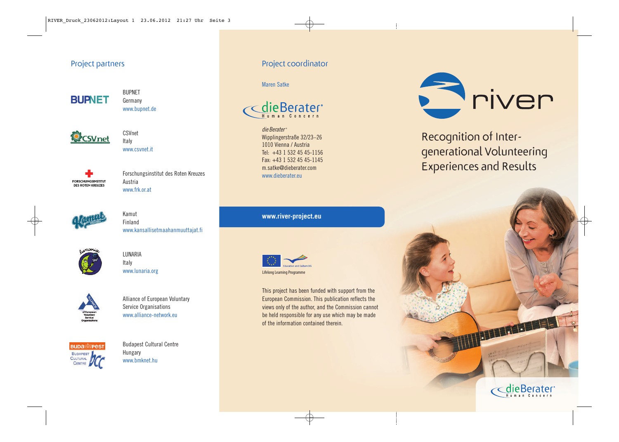#### Project partners



BUPNET Germany www.bupnet.de



CSVnet Italy www.csvnet.it



Forschungsinstitut des Roten Kreuzes Austria www.frk.or.at



Kamut Finland www.kansallisetmaahanmuuttajat.fi



LUNARIA Italy www.lunaria.org



Alliance of European Voluntary Service Organisations www.alliance-network.eu



Budapest Cultural Centre Hungary www.hmknet.hu

#### Project coordinator

Maren Satke



die Berater<sup>®</sup> Wipplingerstraße 32/23–26 1010 Vienna / Austria Tel: +43 1 532 45 45-1156 Fax: +43 1 532 45 45-1145 m.satke@dieberater.com www.dieberater.eu

**www.river-project.eu**



This project has been funded with support from the European Commission. This publication reflects the views only of the author, and the Commission cannot be held responsible for any use which may be made of the information contained therein.



Recognition of Inter generational Volunteering Experiences and Results